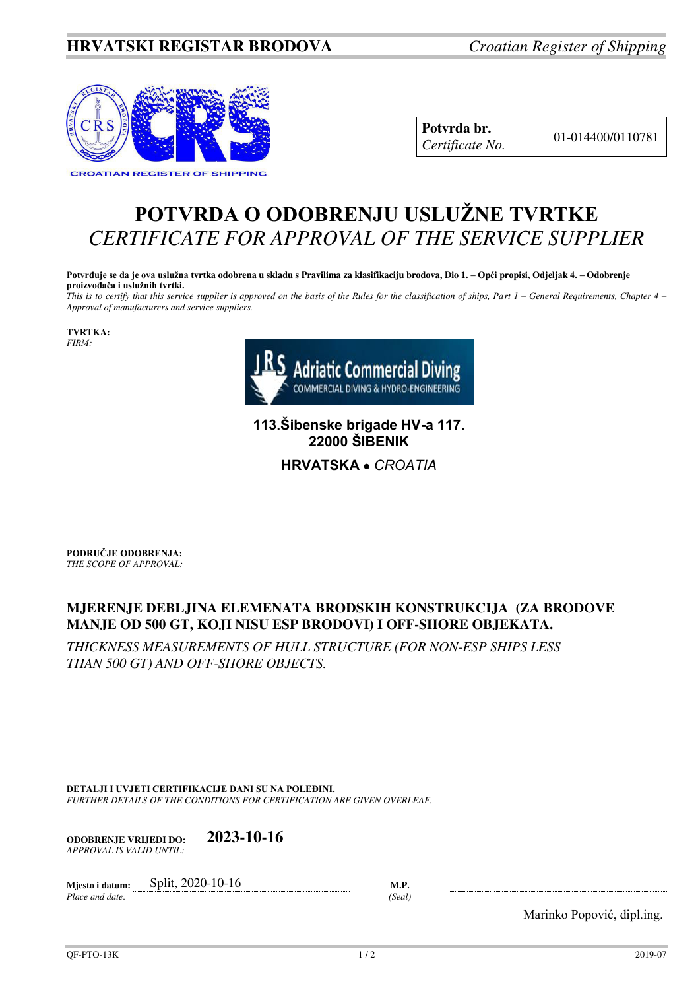## **HRVATSKI REGISTAR BRODOVA** *Croatian Register of Shipping*



**Potvrda br.** 01-014400/0110781 *Certificate No.* 

## **POTVRDA O ODOBRENJU USLUŽNE TVRTKE** *CERTIFICATE FOR APPROVAL OF THE SERVICE SUPPLIER*

**Potvrđuje se da je ova uslužna tvrtka odobrena u skladu s Pravilima za klasifikaciju brodova, Dio 1. – Opći propisi, Odjeljak 4. – Odobrenje proizvođača i uslužnih tvrtki.**

*This is to certify that this service supplier is approved on the basis of the Rules for the classification of ships, Part 1 – General Requirements, Chapter 4 – Approval of manufacturers and service suppliers.* 

**TVRTKA:** *FIRM:*



**113.Šibenske brigade HV-a 117. 22000 ŠIBENIK**

**HRVATSKA**  *CROATIA*

**PODRUČJE ODOBRENJA:** *THE SCOPE OF APPROVAL:* 

## **MJERENJE DEBLJINA ELEMENATA BRODSKIH KONSTRUKCIJA (ZA BRODOVE MANJE OD 500 GT, KOJI NISU ESP BRODOVI) I OFF-SHORE OBJEKATA.**

*THICKNESS MEASUREMENTS OF HULL STRUCTURE (FOR NON-ESP SHIPS LESS THAN 500 GT) AND OFF-SHORE OBJECTS.* 

**DETALJI I UVJETI CERTIFIKACIJE DANI SU NA POLEĐINI.** *FURTHER DETAILS OF THE CONDITIONS FOR CERTIFICATION ARE GIVEN OVERLEAF.* 

| <b>ODOBRENJE VRLJEDI DO:</b> | 2023-10-16 |
|------------------------------|------------|
| APPROVAL IS VALID UNTIL:     |            |

| Miesto i datum: | Split, 2020-10-16 |                   |
|-----------------|-------------------|-------------------|
| Place and date: |                   | Seal <sup>)</sup> |

Marinko Popović, dipl.ing.